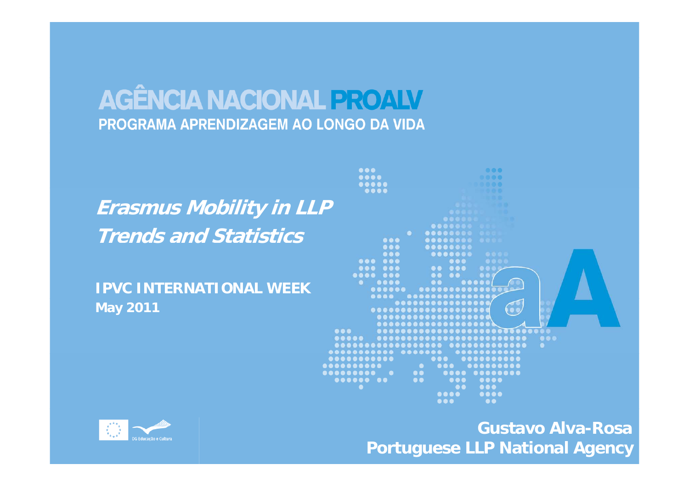#### **Erasmus Mobility in LLP Trends d s s and Statistics**

**IPVC INTERNATIONAL WEEK May 2011**



**Gustavo Alva-Rosa Portuguese LLP National Agency**

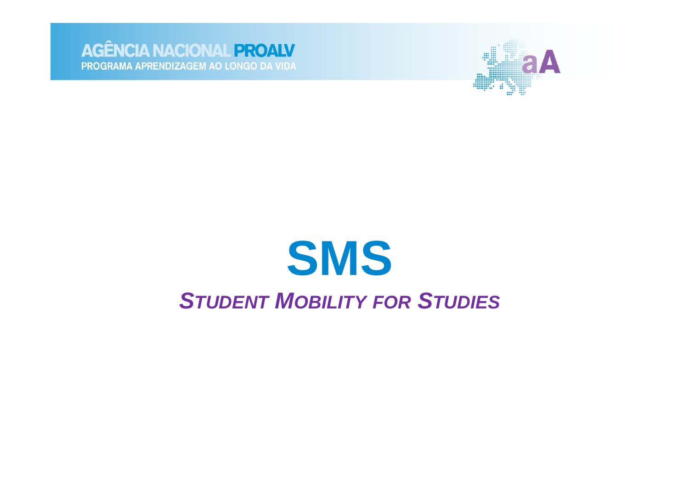



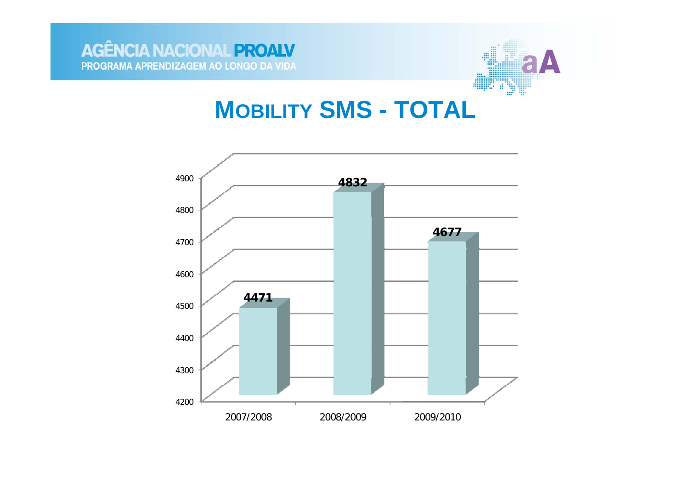

#### **MOBILITY SMS - TOTAL**

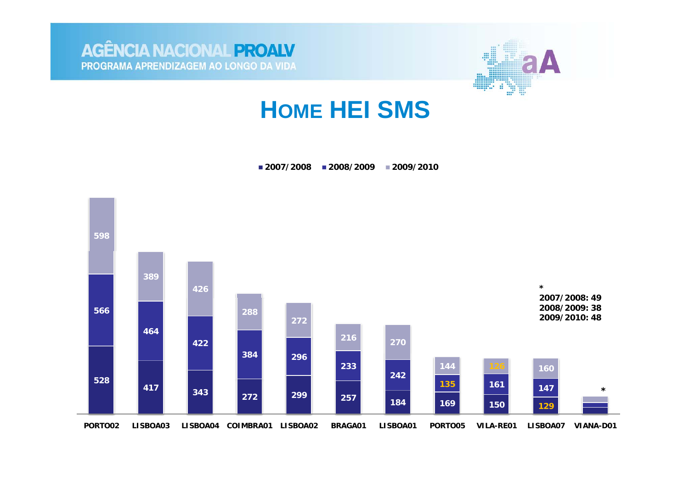



## **HOME HEI SMS**

**2007/2008 2008/2009 2009/2010**

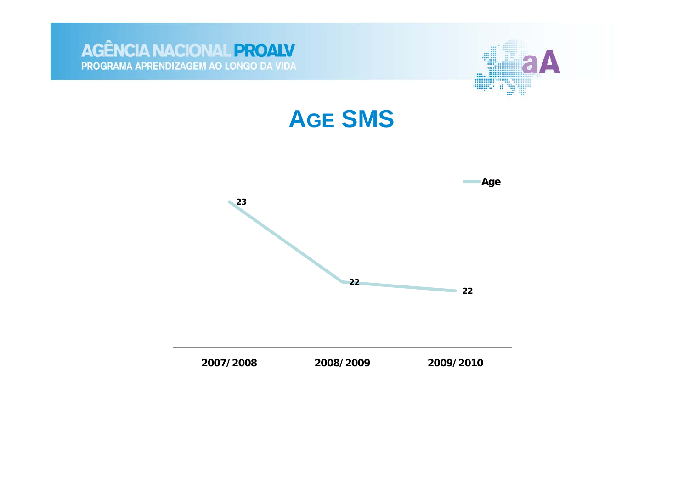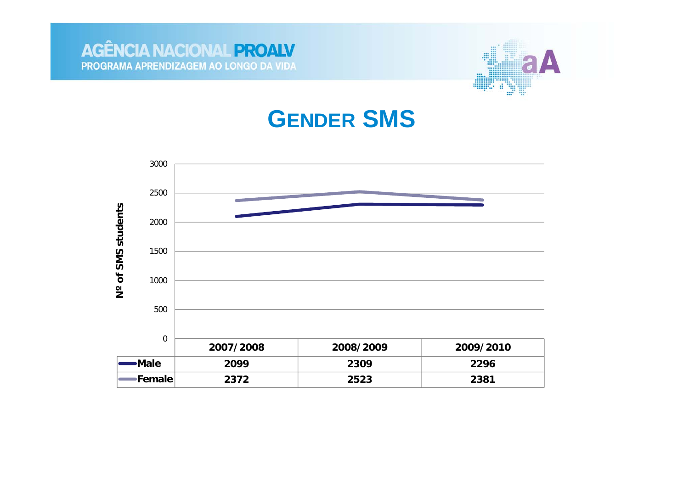



#### **GENDER SMS**

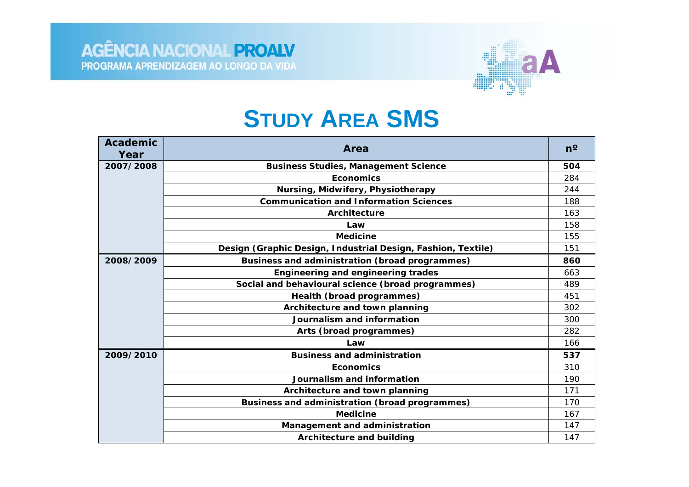

#### **STUDY AREA SMS**

| <b>Academic</b><br>Year | Area                                                         | $n^{\circ}$ |
|-------------------------|--------------------------------------------------------------|-------------|
| 2007/2008               | <b>Business Studies, Management Science</b>                  | 504         |
|                         | <b>Economics</b>                                             | 284         |
|                         | Nursing, Midwifery, Physiotherapy                            | 244         |
|                         | <b>Communication and Information Sciences</b>                | 188         |
|                         | Architecture                                                 | 163         |
|                         | Law                                                          | 158         |
|                         | <b>Medicine</b>                                              | 155         |
|                         | Design (Graphic Design, Industrial Design, Fashion, Textile) | 151         |
| 2008/2009               | Business and administration (broad programmes)               | 860         |
|                         | <b>Engineering and engineering trades</b>                    | 663         |
|                         | Social and behavioural science (broad programmes)            | 489         |
|                         | Health (broad programmes)                                    | 451         |
|                         | Architecture and town planning                               | 302         |
|                         | Journalism and information                                   | 300         |
|                         | Arts (broad programmes)                                      | 282         |
|                         | Law                                                          | 166         |
| 2009/2010               | <b>Business and administration</b>                           | 537         |
|                         | <b>Economics</b>                                             | 310         |
|                         | Journalism and information                                   | 190         |
|                         | Architecture and town planning                               | 171         |
|                         | Business and administration (broad programmes)               | 170         |
|                         | <b>Medicine</b>                                              | 167         |
|                         | Management and administration                                | 147         |
|                         | <b>Architecture and building</b>                             | 147         |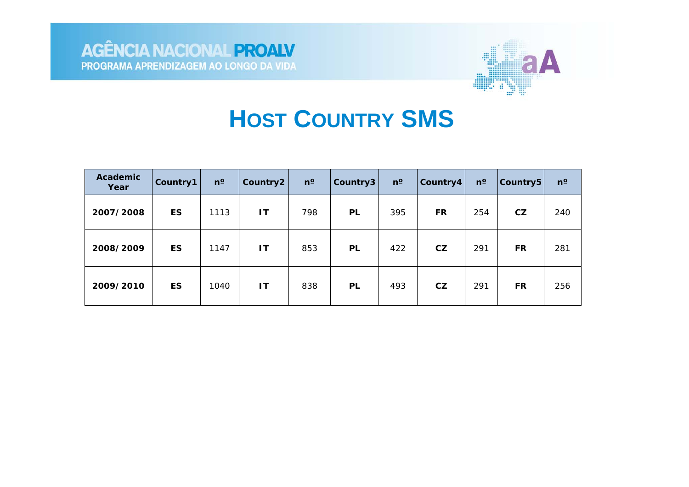

## **HOST COUNTRY SMS**

| <b>Academic</b><br>Year | Country1  | $n^{\circ}$ | Country2               | $n^{\circ}$ | Country3  | $n^{\circ}$ | Country4 | $n^{\circ}$ | Country5  | $n^{\circ}$ |
|-------------------------|-----------|-------------|------------------------|-------------|-----------|-------------|----------|-------------|-----------|-------------|
| 2007/2008               | <b>ES</b> | 1113        | IT.                    | 798         | <b>PL</b> | 395         | FR       | 254         | CZ        | 240         |
| 2008/2009               | <b>ES</b> | 1147        | $\mathsf{I}\mathsf{T}$ | 853         | PL        | 422         | CZ       | 291         | <b>FR</b> | 281         |
| 2009/2010               | <b>ES</b> | 1040        | <b>IT</b>              | 838         | PL        | 493         | CZ       | 291         | <b>FR</b> | 256         |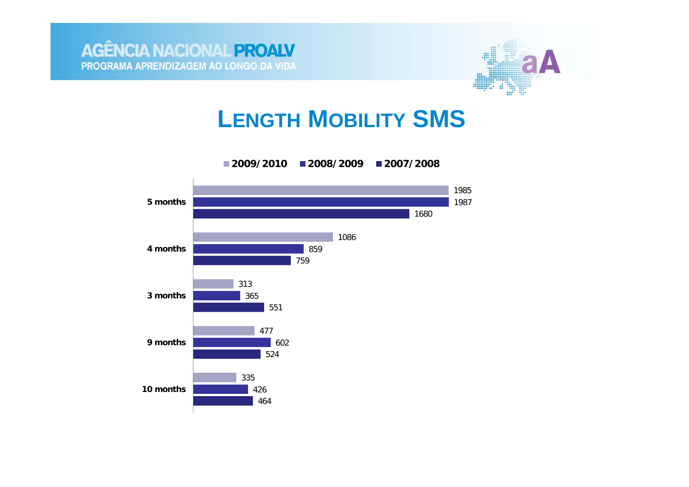



### **LENGTH MOBILITY SMS**

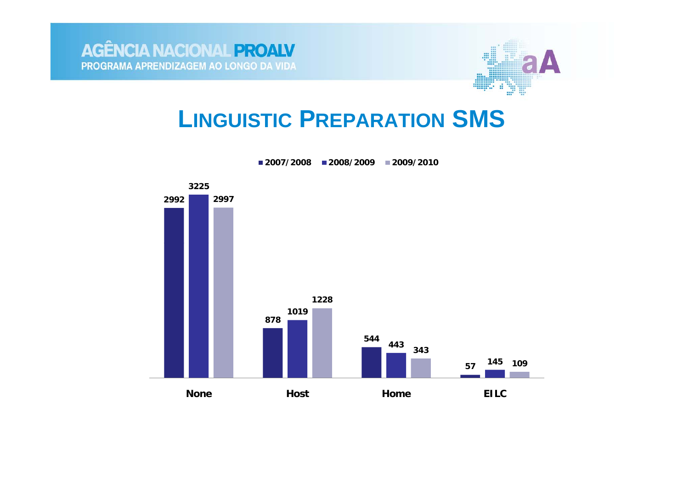

## **LINGUISTIC PREPARATION SMS**



**2007/2008 2008/2009 2009/2010**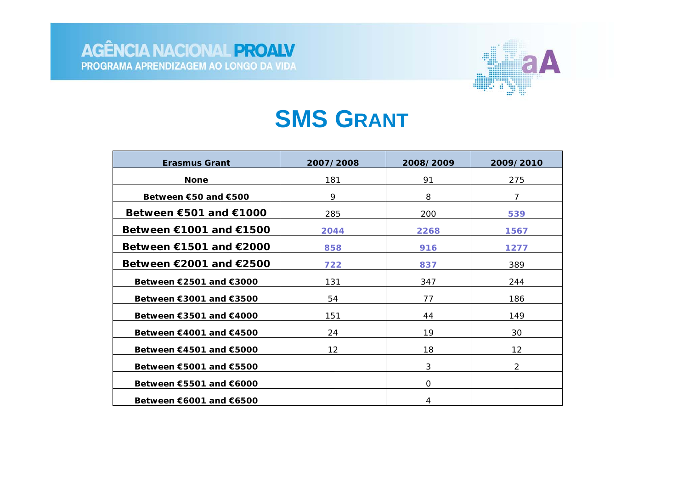

#### **SMS GRANT**

| <b>Erasmus Grant</b>                     | 2007/2008         | 2008/2009 | 2009/2010     |
|------------------------------------------|-------------------|-----------|---------------|
| <b>None</b>                              | 181               | 91        | 275           |
| Between $\epsilon$ 50 and $\epsilon$ 500 | 9                 | 8         | 7             |
| Between €501 and €1000                   | 285               | 200       | 539           |
| Between $€1001$ and $€1500$              | 2044              | 2268      | 1567          |
| Between $€1501$ and $€2000$              | 858               | 916       | 1277          |
| Between $€2001$ and $€2500$              | 722               | 837       | 389           |
| Between €2501 and €3000                  | 131               | 347       | 244           |
| Between €3001 and €3500                  | 54                | 77        | 186           |
| Between €3501 and €4000                  | 151               | 44        | 149           |
| Between €4001 and €4500                  | 24                | 19        | 30            |
| Between $€4501$ and $€5000$              | $12 \overline{ }$ | 18        | 12            |
| Between €5001 and €5500                  |                   | 3         | $\mathcal{P}$ |
| Between €5501 and €6000                  |                   | $\Omega$  |               |
| Between $€6001$ and $€6500$              |                   | 4         |               |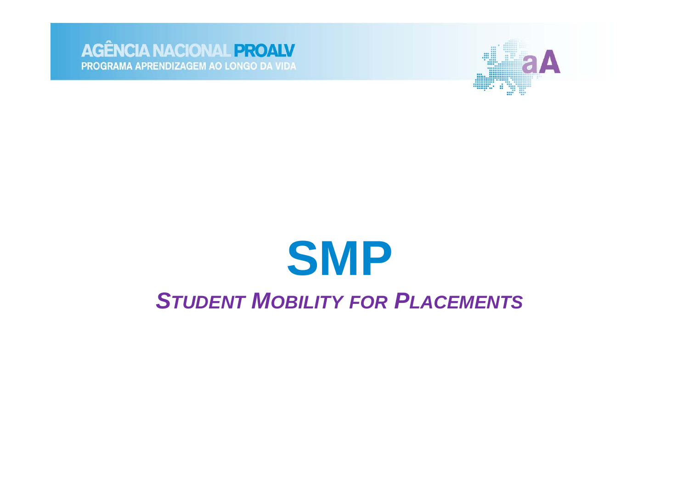



## **SMP STUDENT MOBILITY FOR PLACEMENTS**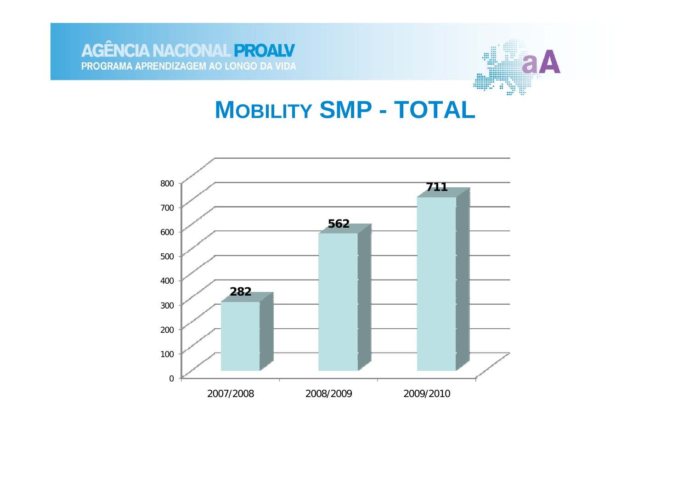

#### **MOBILITY SMP - TOTAL**

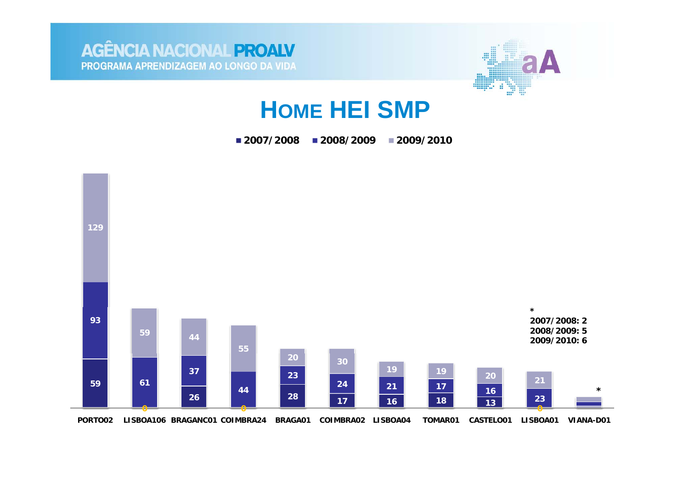

### **HOME HEI SMP**

**2007/2008 2008/2009 2009/2010**

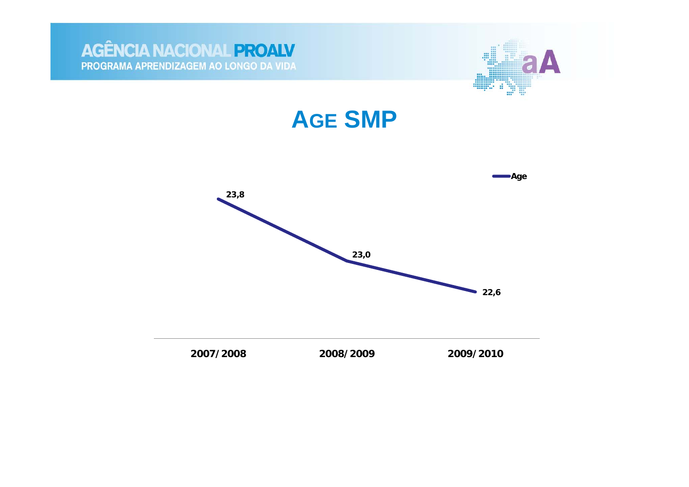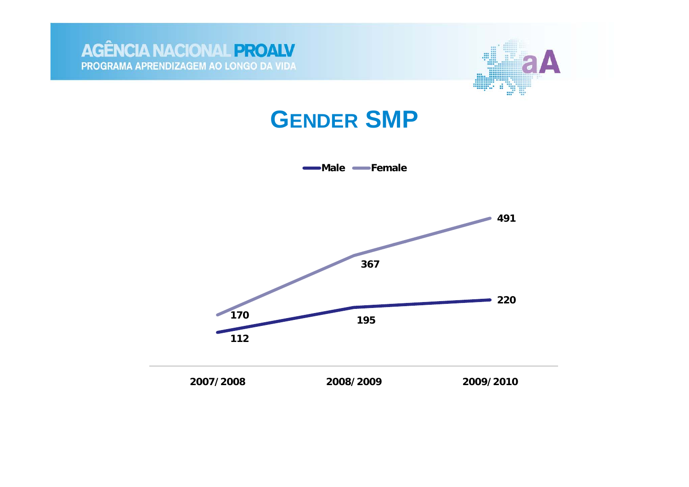



#### **GENDER SMP**

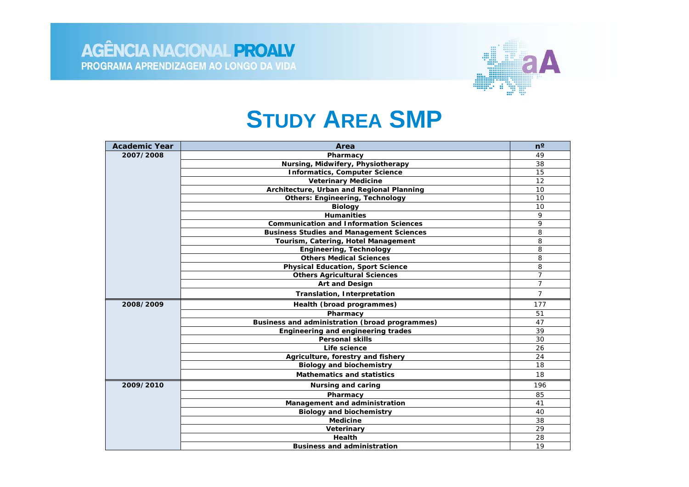

#### **STUDY AREA SMP**

| <b>Academic Year</b> | Area                                            | $n^{\circ}$    |
|----------------------|-------------------------------------------------|----------------|
| 2007/2008            | Pharmacy                                        | 49             |
|                      | Nursing, Midwifery, Physiotherapy               | 38             |
|                      | <b>Informatics, Computer Science</b>            | 15             |
|                      | <b>Veterinary Medicine</b>                      | 12             |
|                      | Architecture, Urban and Regional Planning       | 10             |
|                      | <b>Others: Engineering, Technology</b>          | 10             |
|                      | <b>Biology</b>                                  | 10             |
|                      | <b>Humanities</b>                               | 9              |
|                      | <b>Communication and Information Sciences</b>   | 9              |
|                      | <b>Business Studies and Management Sciences</b> | 8              |
|                      | Tourism, Catering, Hotel Management             | 8              |
|                      | <b>Engineering, Technology</b>                  | 8              |
|                      | <b>Others Medical Sciences</b>                  | 8              |
|                      | <b>Physical Education, Sport Science</b>        | 8              |
|                      | <b>Others Agricultural Sciences</b>             | $\overline{7}$ |
|                      | Art and Design                                  | $\overline{7}$ |
|                      | Translation, Interpretation                     | $\overline{7}$ |
| 2008/2009            | Health (broad programmes)                       | 177            |
|                      | Pharmacy                                        | 51             |
|                      | Business and administration (broad programmes)  | 47             |
|                      | Engineering and engineering trades              | 39             |
|                      | <b>Personal skills</b>                          | 30             |
|                      | Life science                                    | 26             |
|                      | Agriculture, forestry and fishery               | 24             |
|                      | <b>Biology and biochemistry</b>                 | 18             |
|                      | <b>Mathematics and statistics</b>               | 18             |
| 2009/2010            | <b>Nursing and caring</b>                       | 196            |
|                      | Pharmacy                                        | 85             |
|                      | Management and administration                   | 41             |
|                      | <b>Biology and biochemistry</b>                 | 40             |
|                      | <b>Medicine</b>                                 | 38             |
|                      | Veterinary                                      | 29             |
|                      | Health                                          | 28             |
|                      | <b>Business and administration</b>              | 19             |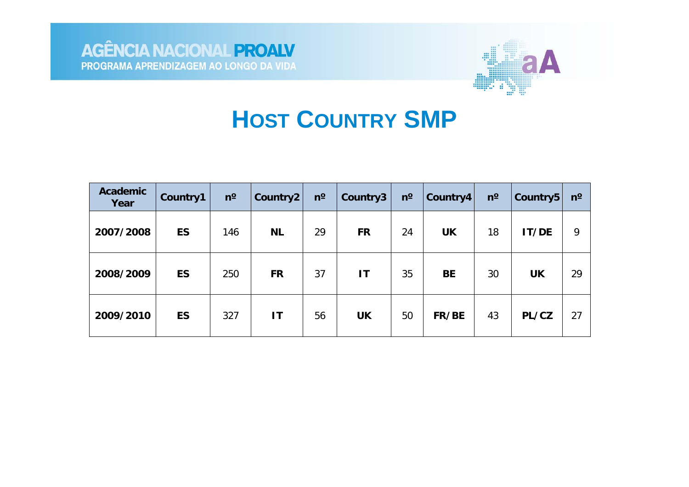



## **HOST COUNTRY SMP**

| <b>Academic</b><br>Year | Country1  | $n^{\rm o}$ | Country2  | $n^{\circ}$ | Country3  | $n^{\circ}$ | Country4  | $n^{\rm o}$ | <b>Country5</b> | $n^{\rm o}$ |
|-------------------------|-----------|-------------|-----------|-------------|-----------|-------------|-----------|-------------|-----------------|-------------|
| 2007/2008               | <b>ES</b> | 146         | <b>NL</b> | 29          | <b>FR</b> | 24          | <b>UK</b> | 18          | IT/DE           | 9           |
| 2008/2009               | <b>ES</b> | 250         | <b>FR</b> | 37          | IT        | 35          | <b>BE</b> | 30          | <b>UK</b>       | 29          |
| 2009/2010               | <b>ES</b> | 327         | IT        | 56          | <b>UK</b> | 50          | FR/BE     | 43          | PL/CZ           | 27          |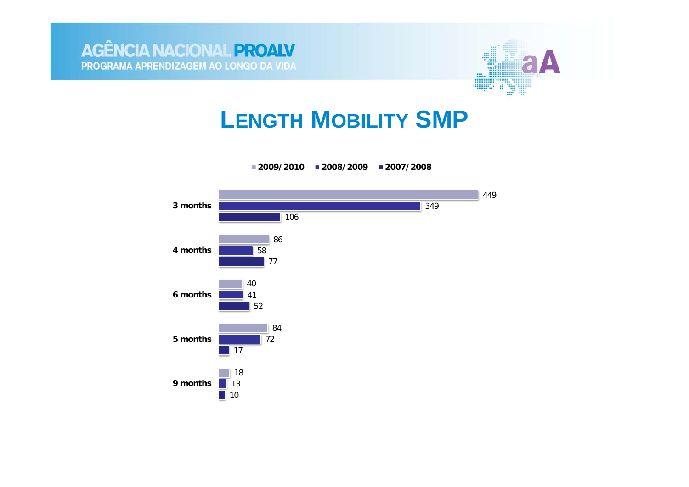



#### **LENGTH MOBILITY SMP**

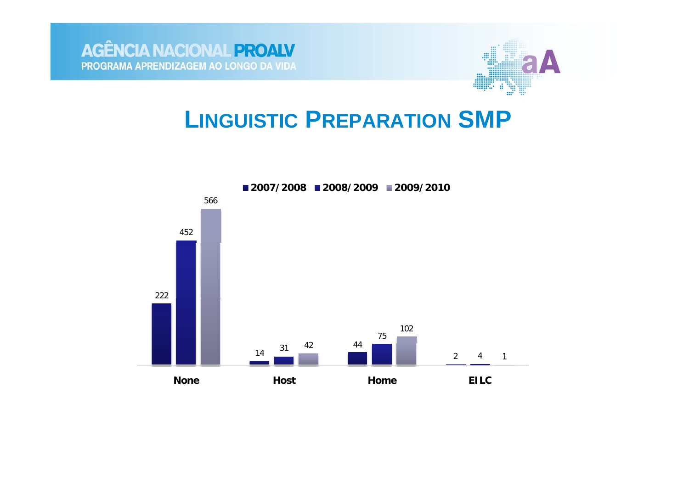

#### **LINGUISTIC PREPARATION SMP**

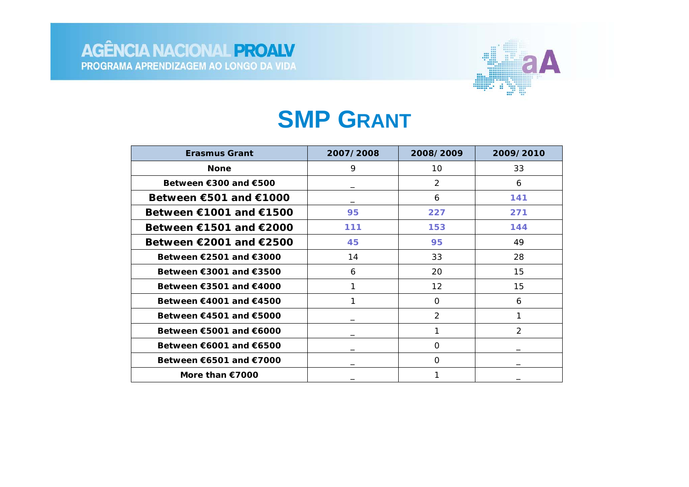

#### **SMP GRANT**

| <b>Erasmus Grant</b>                        | 2007/2008 | 2008/2009         | 2009/2010     |
|---------------------------------------------|-----------|-------------------|---------------|
| <b>None</b>                                 | 9         | 10                | 33            |
| Between €300 and €500                       |           | $\overline{2}$    | 6             |
| Between $€501$ and $€1000$                  |           | 6                 | 141           |
| Between $€1001$ and $€1500$                 | 95        | 227               | 271           |
| Between $€1501$ and $€2000$                 | 111       | 153               | 144           |
| Between $\epsilon$ 2001 and $\epsilon$ 2500 | 45        | 95                | 49            |
| Between $\epsilon$ 2501 and $\epsilon$ 3000 | 14        | 33                | 28            |
| Between $\epsilon$ 3001 and $\epsilon$ 3500 | 6         | 20                | 15            |
| Between $€3501$ and $€4000$                 |           | $12 \overline{ }$ | 15            |
| Between $€4001$ and $€4500$                 |           | 0                 | 6             |
| Between $€4501$ and $€5000$                 |           | $\mathcal{P}$     | 1             |
| Between $€5001$ and $€6000$                 |           |                   | $\mathcal{P}$ |
| Between $€6001$ and $€6500$                 |           | 0                 |               |
| Between $€6501$ and $€7000$                 |           | $\Omega$          |               |
| More than $€7000$                           |           |                   |               |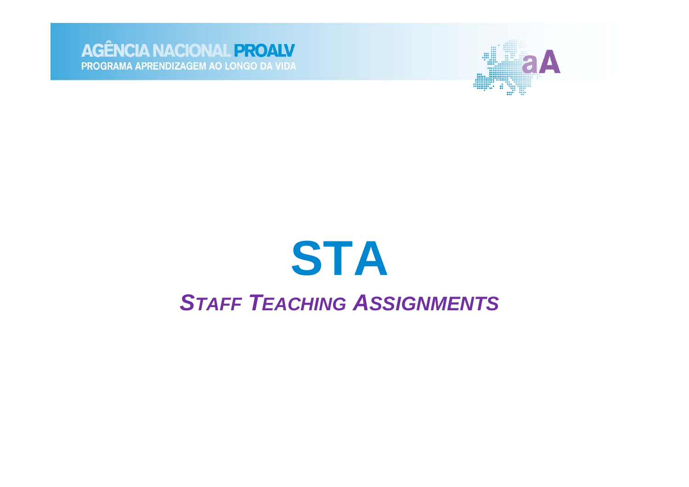



## **STA STAFF TEACHING ASSIGNMENTS**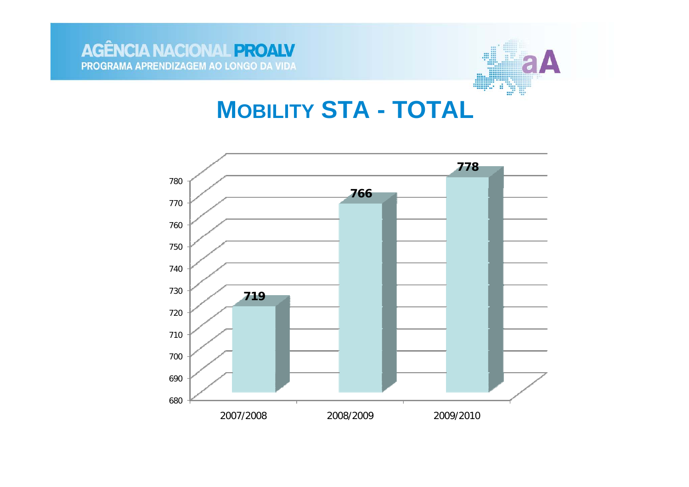

### **MOBILITY STA - TOTAL**

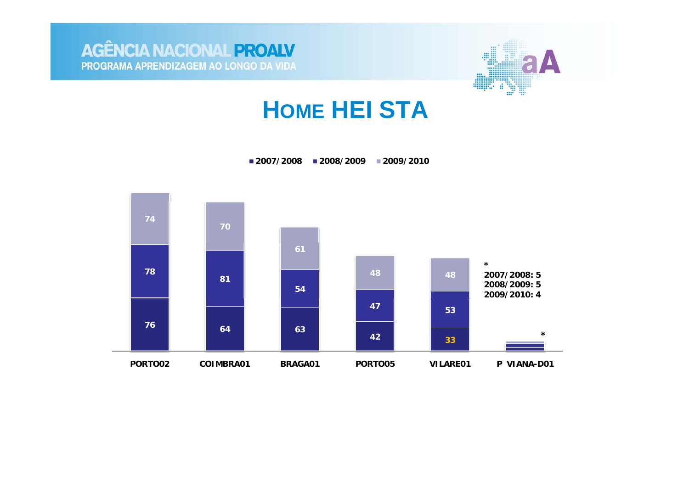



## **HOME HEI STA**

**2007/2008 2008/2009 2009/2010**

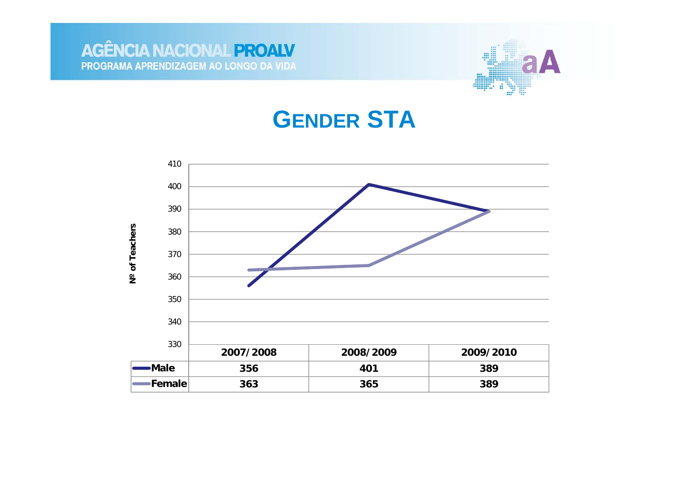



#### **GENDER STA**

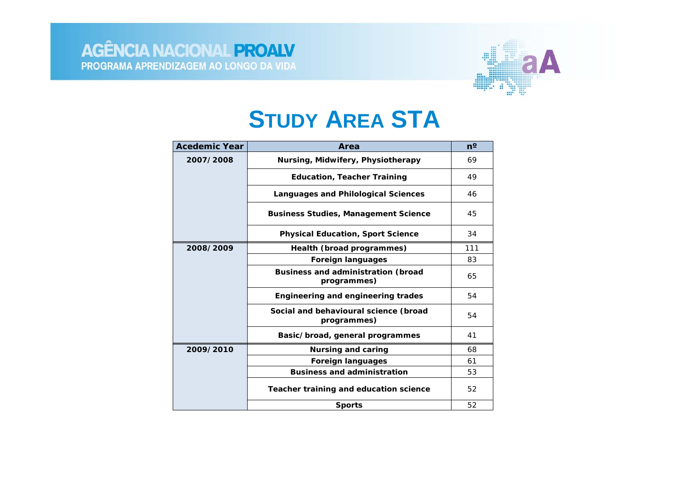

## **STUDY AREA STA**

| <b>Acedemic Year</b> | Area                                                     | $n^{\circ}$ |
|----------------------|----------------------------------------------------------|-------------|
| 2007/2008            | Nursing, Midwifery, Physiotherapy                        | 69          |
|                      | <b>Education, Teacher Training</b>                       | 49          |
|                      | Languages and Philological Sciences                      | 46          |
|                      | <b>Business Studies, Management Science</b>              | 45          |
|                      | <b>Physical Education, Sport Science</b>                 | 34          |
| 2008/2009            | Health (broad programmes)                                | 111         |
|                      | <b>Foreign languages</b>                                 | 83          |
|                      | <b>Business and administration (broad</b><br>programmes) | 65          |
|                      | Engineering and engineering trades                       | 54          |
|                      | Social and behavioural science (broad<br>programmes)     | 54          |
|                      | Basic/broad, general programmes                          | 41          |
| 2009/2010            | Nursing and caring                                       | 68          |
|                      | <b>Foreign languages</b>                                 | 61          |
|                      | <b>Business and administration</b>                       | 53          |
|                      | Teacher training and education science                   | 52          |
|                      | <b>Sports</b>                                            | 52          |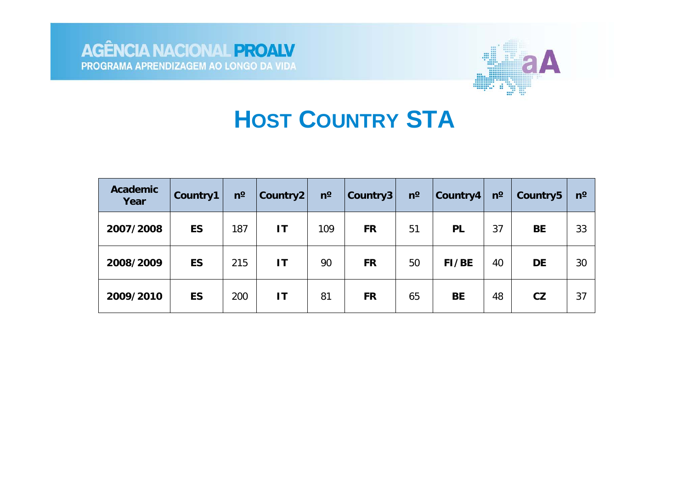



## **HOST COUNTRY STA**

| <b>Academic</b><br>Year | Country1  | $n^{\circ}$ | Country2     | $n^{\circ}$ | Country3  | $n^{\circ}$ | Country4  | $n^{\circ}$ | Country <sub>5</sub> | $n^{\circ}$ |
|-------------------------|-----------|-------------|--------------|-------------|-----------|-------------|-----------|-------------|----------------------|-------------|
| 2007/2008               | <b>ES</b> | 187         | $\mathbf{I}$ | 109         | <b>FR</b> | 51          | <b>PL</b> | 37          | <b>BE</b>            | 33          |
| 2008/2009               | <b>ES</b> | 215         | $\mathbf{I}$ | 90          | <b>FR</b> | 50          | FI/BE     | 40          | <b>DE</b>            | 30          |
| 2009/2010               | <b>ES</b> | 200         | ΙT           | 81          | <b>FR</b> | 65          | <b>BE</b> | 48          | CZ                   | 37          |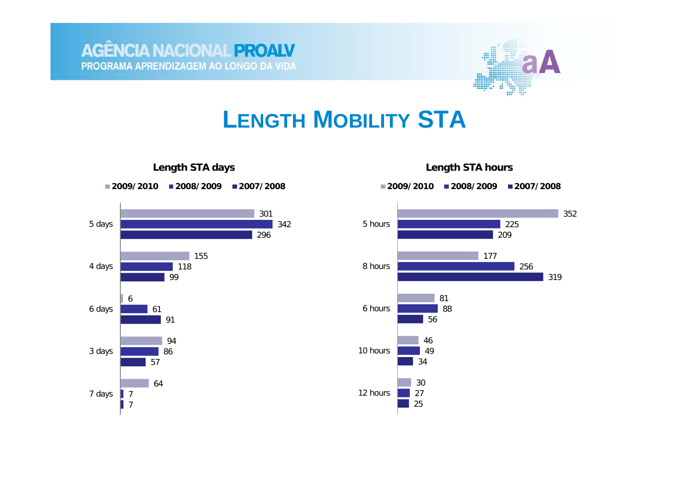

#### **LENGTH MOBILITY STA**







**Length STA hours**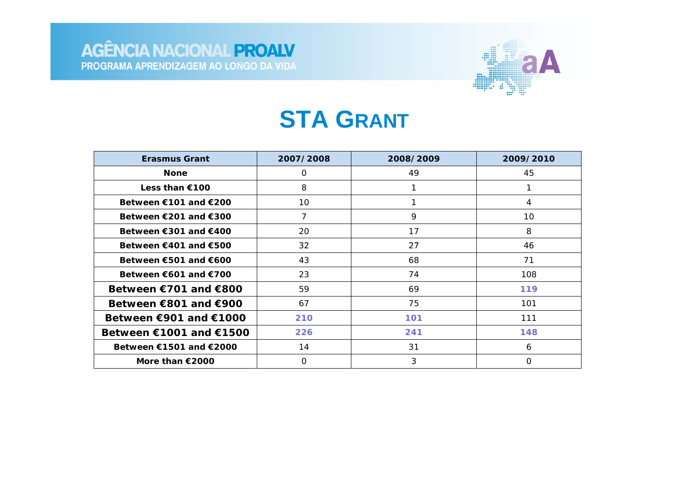

## **STA GRANT**

| <b>Erasmus Grant</b>                      | 2007/2008 | 2008/2009 | 2009/2010 |
|-------------------------------------------|-----------|-----------|-----------|
| <b>None</b>                               | 0         | 49        | 45        |
| Less than €100                            | 8         |           |           |
| Between $€101$ and $€200$                 | 10        |           | 4         |
| Between $\epsilon$ 201 and $\epsilon$ 300 | 7         | 9         | 10        |
| Between $€301$ and $€400$                 | 20        | 17        | 8         |
| Between €401 and €500                     | 32        | 27        | 46        |
| Between $\epsilon$ 501 and $\epsilon$ 600 | 43        | 68        | 71        |
| Between $€601$ and $€700$                 | 23        | 74        | 108       |
| Between $€701$ and $€800$                 | 59        | 69        | 119       |
| Between $€801$ and $€900$                 | 67        | 75        | 101       |
| Between $€901$ and $€1000$                | 210       | 101       | 111       |
| Between $€1001$ and $€1500$               | 226       | 241       | 148       |
| Between $€1501$ and $€2000$               | 14        | 31        | 6         |
| More than $\epsilon$ 2000                 | O         | 3         | O         |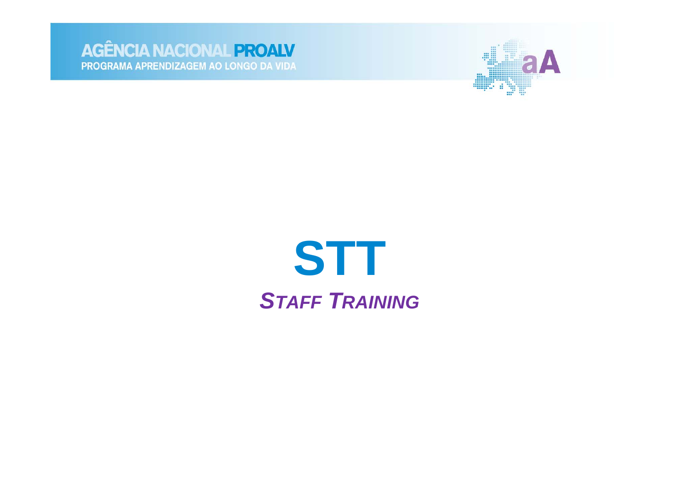



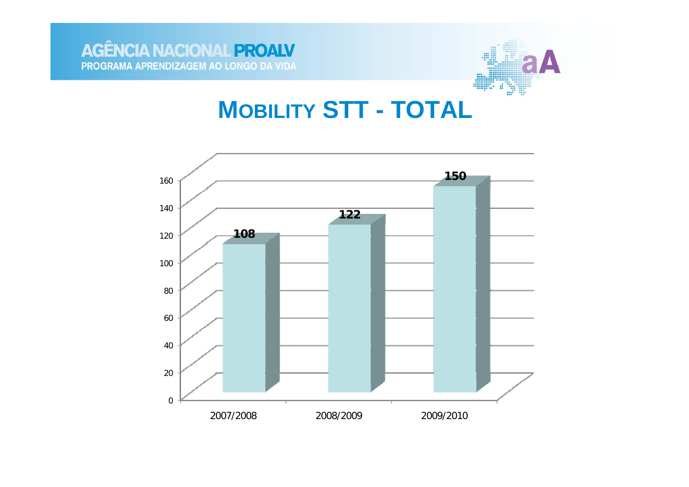



### **MOBILITY STT - TOTAL**

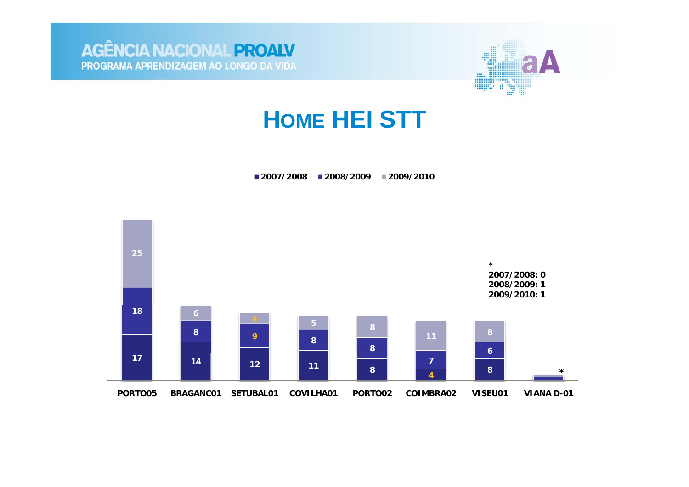



#### **HOME HEI STT**

**2007/2008 2008/2009 2009/2010**

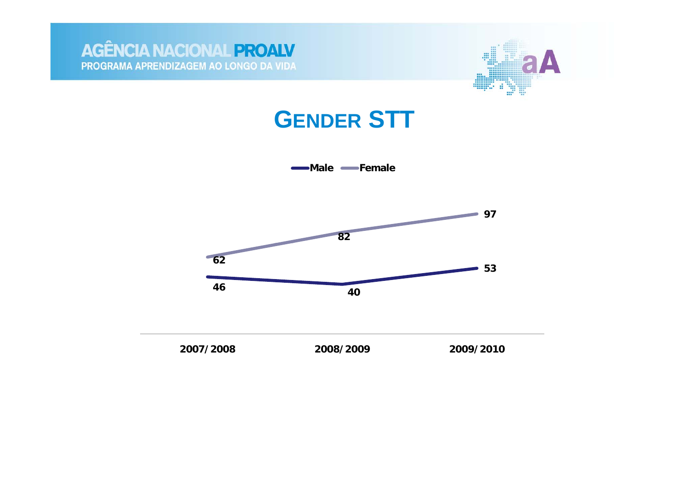



#### **GENDER STT**

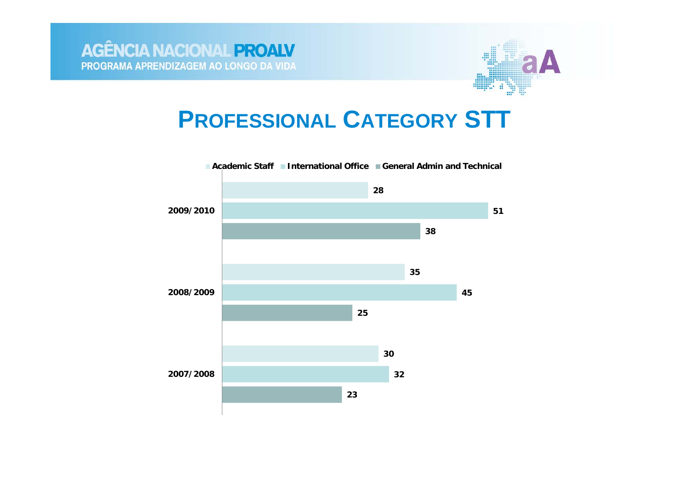

## **PROFESSIONAL CATEGORY STT**

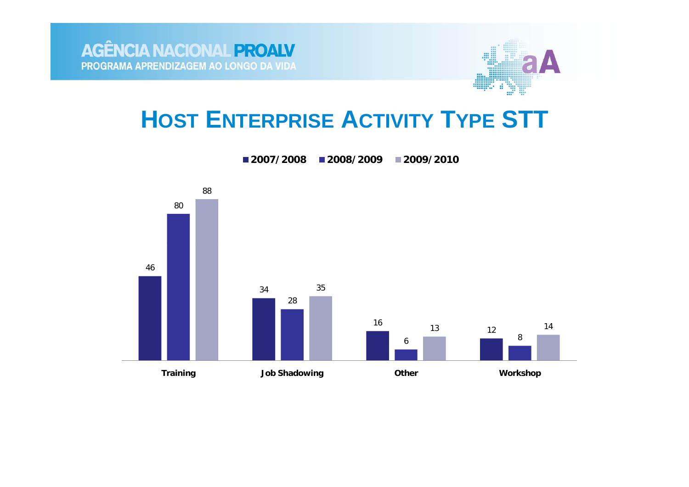

## **HOST ENTERPRISE ACTIVITY TYPE STT**

**2007/20082008/2009 2009/2010**

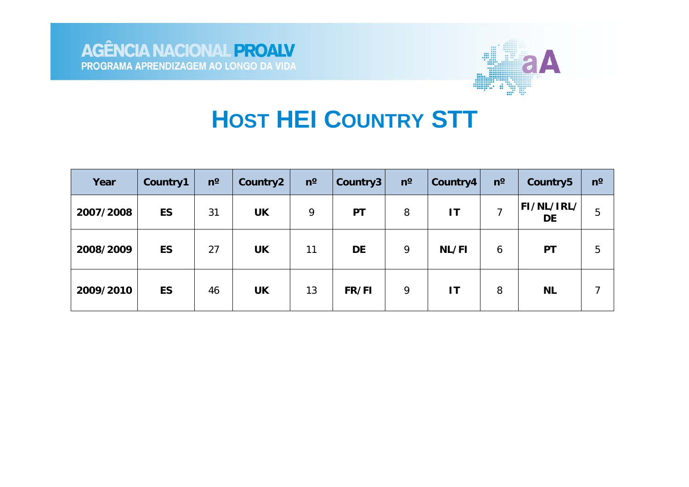

## **HOST HEI COUNTRY STT**

| Year      | Country1  | $n^{\circ}$ | Country2  | $n^{\circ}$ | Country3     | $n^{\circ}$ | Country4 | $n^{\circ}$ | Country5                       | $n^{\rm o}$ |
|-----------|-----------|-------------|-----------|-------------|--------------|-------------|----------|-------------|--------------------------------|-------------|
| 2007/2008 | <b>ES</b> | 31          | <b>UK</b> | 9           | <b>PT</b>    | 8           | IT       | ⇁           | <b>FI/NL/IRL/</b><br><b>DE</b> | 5           |
| 2008/2009 | <b>ES</b> | 27          | <b>UK</b> | 11          | DE           | 9           | NL/FI    | 6           | PT                             | 5           |
| 2009/2010 | <b>ES</b> | 46          | <b>UK</b> | 13          | <b>FR/FI</b> | 9           | IT       | 8           | <b>NL</b>                      |             |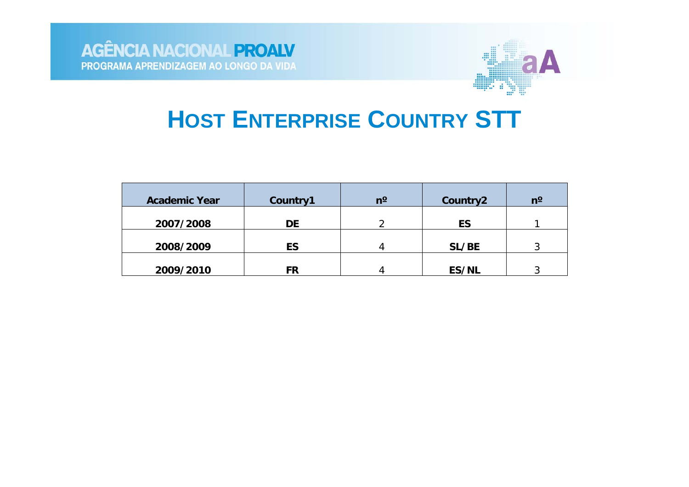

## **HOST ENTERPRISE COUNTRY STT**

| <b>Academic Year</b> | Country1 | n° | Country2 | $n^{\circ}$ |
|----------------------|----------|----|----------|-------------|
| 2007/2008            | DE       |    | ES       |             |
| 2008/2009            | ES       |    | SL/BE    | ົ           |
| 2009/2010            | FR       |    | ES/NL    |             |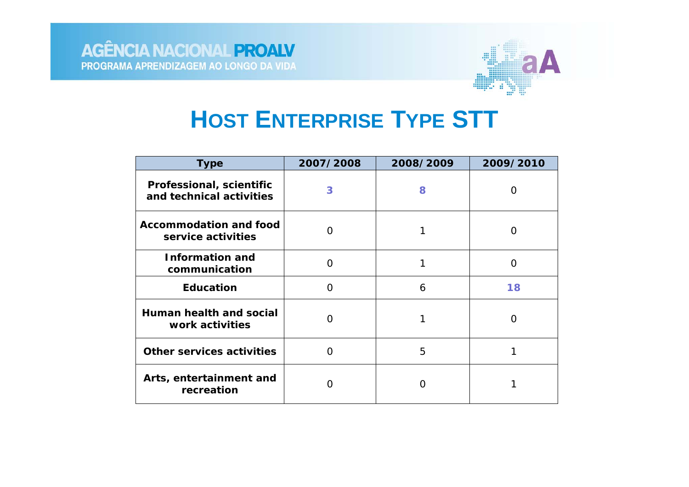

## **HOST ENTERPRISE TYPE STT**

| <b>Type</b>                                          | 2007/2008 | 2008/2009 | 2009/2010 |
|------------------------------------------------------|-----------|-----------|-----------|
| Professional, scientific<br>and technical activities | 3         | 8         |           |
| <b>Accommodation and food</b><br>service activities  | ( )       |           |           |
| <b>Information and</b><br>communication              | ∩         |           | ∩         |
| <b>Education</b>                                     | O         | 6         | 18        |
| Human health and social<br>work activities           | O         | 1         | O         |
| <b>Other services activities</b>                     | ∩         | 5         |           |
| Arts, entertainment and<br>recreation                |           |           |           |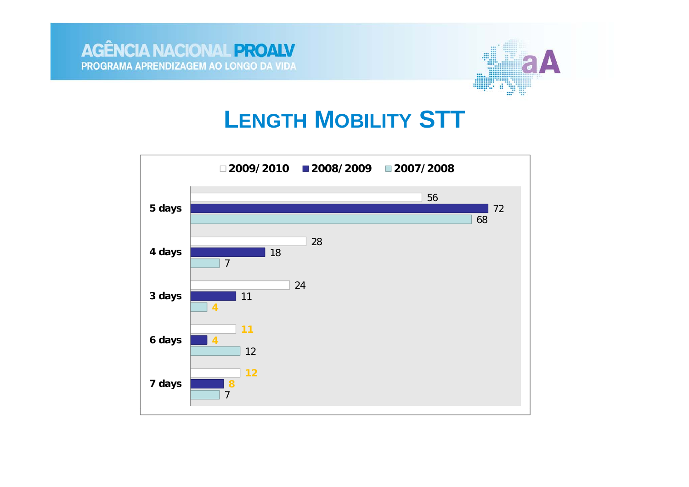



#### **LENGTH MOBILITY STT**

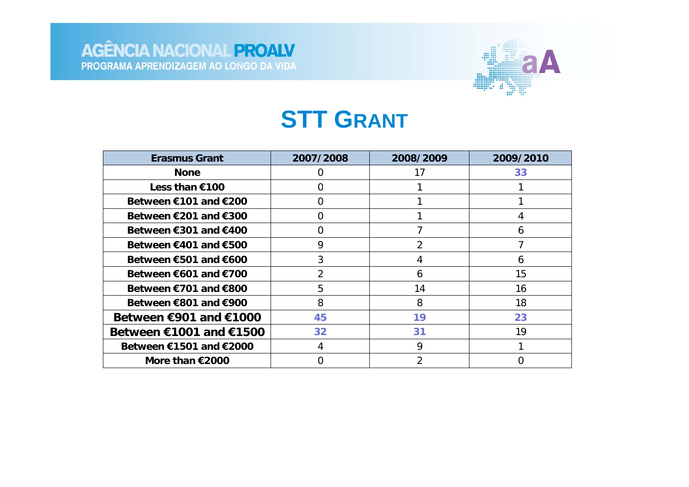

## **STT GRANT**

| <b>Erasmus Grant</b>                      | 2007/2008      | 2008/2009                | 2009/2010 |
|-------------------------------------------|----------------|--------------------------|-----------|
| <b>None</b>                               | 0              | 17                       | 33        |
| Less than €100                            | 0              |                          |           |
| Between €101 and €200                     | 0              |                          |           |
| Between $\epsilon$ 201 and $\epsilon$ 300 | 0              |                          |           |
| Between $€301$ and $€400$                 | 0              |                          | 6         |
| Between €401 and €500                     | 9              | 2                        |           |
| Between $\epsilon$ 501 and $\epsilon$ 600 | 3              | 4                        | 6         |
| Between €601 and €700                     | $\overline{2}$ | 6                        | 15        |
| Between €701 and €800                     | 5              | 14                       | 16        |
| Between €801 and €900                     | 8              | 8                        | 18        |
| Between $€901$ and $€1000$                | 45             | 19                       | 23        |
| Between €1001 and €1500                   | 32             | 31                       | 19        |
| Between €1501 and €2000                   | 4              | 9                        |           |
| More than $€2000$                         |                | $\overline{\mathcal{L}}$ |           |